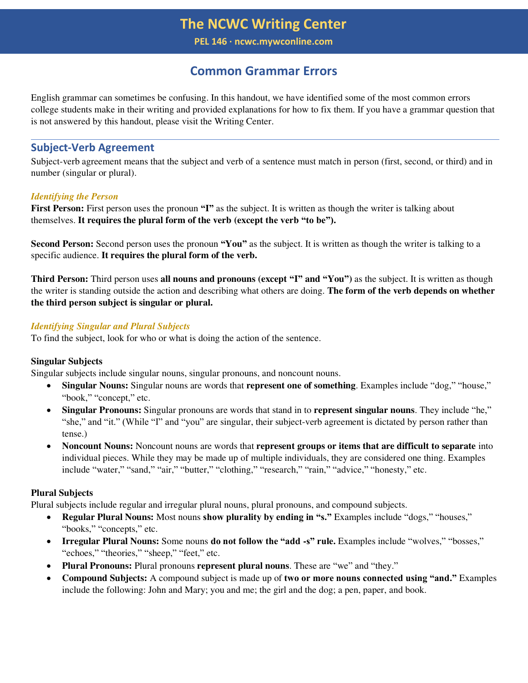**PEL 146 ∙ ncwc.mywconline.com**

# **Common Grammar Errors**

English grammar can sometimes be confusing. In this handout, we have identified some of the most common errors college students make in their writing and provided explanations for how to fix them. If you have a grammar question that is not answered by this handout, please visit the Writing Center.

# **Subject-Verb Agreement**

Subject-verb agreement means that the subject and verb of a sentence must match in person (first, second, or third) and in number (singular or plural).

## *Identifying the Person*

**First Person:** First person uses the pronoun "**I**" as the subject. It is written as though the writer is talking about themselves. **It requires the plural form of the verb (except the verb "to be").** 

**Second Person:** Second person uses the pronoun **"You"** as the subject. It is written as though the writer is talking to a specific audience. **It requires the plural form of the verb.** 

**Third Person:** Third person uses **all nouns and pronouns (except "I" and "You")** as the subject. It is written as though the writer is standing outside the action and describing what others are doing. **The form of the verb depends on whether the third person subject is singular or plural.** 

## *Identifying Singular and Plural Subjects*

To find the subject, look for who or what is doing the action of the sentence.

## **Singular Subjects**

Singular subjects include singular nouns, singular pronouns, and noncount nouns.

- **Singular Nouns:** Singular nouns are words that **represent one of something**. Examples include "dog," "house," "book," "concept," etc.
- **Singular Pronouns:** Singular pronouns are words that stand in to **represent singular nouns**. They include "he," "she," and "it." (While "I" and "you" are singular, their subject-verb agreement is dictated by person rather than tense.)
- **Noncount Nouns:** Noncount nouns are words that **represent groups or items that are difficult to separate** into individual pieces. While they may be made up of multiple individuals, they are considered one thing. Examples include "water," "sand," "air," "butter," "clothing," "research," "rain," "advice," "honesty," etc.

## **Plural Subjects**

Plural subjects include regular and irregular plural nouns, plural pronouns, and compound subjects.

- **Regular Plural Nouns:** Most nouns **show plurality by ending in "s."** Examples include "dogs," "houses," "books," "concepts," etc.
- **Irregular Plural Nouns:** Some nouns **do not follow the "add -s" rule.** Examples include "wolves," "bosses," "echoes," "theories," "sheep," "feet," etc.
- **Plural Pronouns:** Plural pronouns **represent plural nouns**. These are "we" and "they."
- **Compound Subjects:** A compound subject is made up of **two or more nouns connected using "and."** Examples include the following: John and Mary; you and me; the girl and the dog; a pen, paper, and book.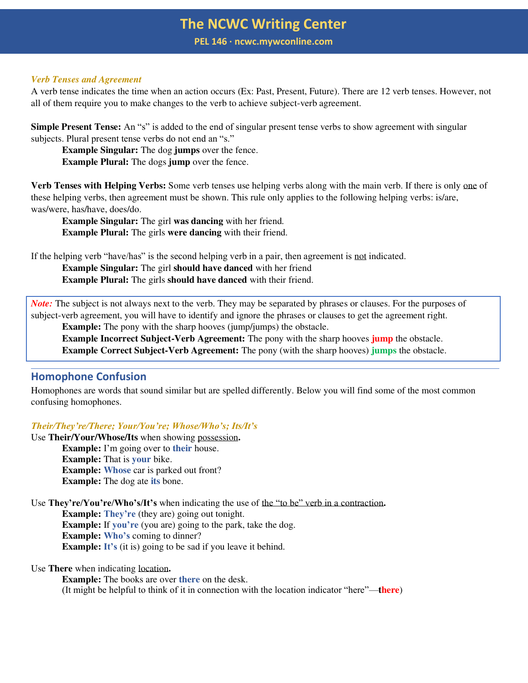**PEL 146 ∙ ncwc.mywconline.com**

#### *Verb Tenses and Agreement*

A verb tense indicates the time when an action occurs (Ex: Past, Present, Future). There are 12 verb tenses. However, not all of them require you to make changes to the verb to achieve subject-verb agreement.

**Simple Present Tense:** An "s" is added to the end of singular present tense verbs to show agreement with singular subjects. Plural present tense verbs do not end an "s."

**Example Singular:** The dog **jumps** over the fence.

**Example Plural:** The dogs **jump** over the fence.

**Verb Tenses with Helping Verbs:** Some verb tenses use helping verbs along with the main verb. If there is only one of these helping verbs, then agreement must be shown. This rule only applies to the following helping verbs: is/are, was/were, has/have, does/do.

**Example Singular:** The girl **was dancing** with her friend. **Example Plural:** The girls **were dancing** with their friend.

If the helping verb "have/has" is the second helping verb in a pair, then agreement is not indicated.

**Example Singular:** The girl **should have danced** with her friend **Example Plural:** The girls **should have danced** with their friend.

*Note:* The subject is not always next to the verb. They may be separated by phrases or clauses. For the purposes of subject-verb agreement, you will have to identify and ignore the phrases or clauses to get the agreement right.

**Example:** The pony with the sharp hooves (jump/jumps) the obstacle.

**Example Incorrect Subject-Verb Agreement:** The pony with the sharp hooves **jump** the obstacle. **Example Correct Subject-Verb Agreement:** The pony (with the sharp hooves) **jumps** the obstacle.

# **Homophone Confusion**

Homophones are words that sound similar but are spelled differently. Below you will find some of the most common confusing homophones.

#### *Their/They're/There; Your/You're; Whose/Who's; Its/It's*

Use **Their/Your/Whose/Its** when showing possession**. Example:** I'm going over to **their** house. **Example:** That is **your** bike. **Example: Whose** car is parked out front? **Example:** The dog ate **its** bone.

Use **They're/You're/Who's/It's** when indicating the use of the "to be" verb in a contraction**. Example: They're** (they are) going out tonight.

**Example:** If **you're** (you are) going to the park, take the dog. **Example: Who's** coming to dinner?

**Example:** It's (it is) going to be sad if you leave it behind.

Use **There** when indicating location**.**

**Example:** The books are over **there** on the desk. (It might be helpful to think of it in connection with the location indicator "here"—**there**)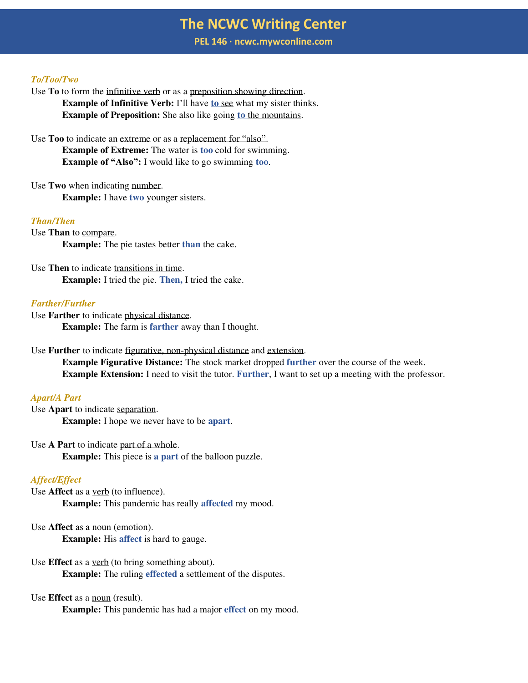**PEL 146 ∙ ncwc.mywconline.com**

#### *To/Too/Two*

- Use **To** to form the infinitive verb or as a preposition showing direction. **Example of Infinitive Verb:** I'll have **to** see what my sister thinks. **Example of Preposition:** She also like going **to** the mountains.
- Use **Too** to indicate an extreme or as a replacement for "also". **Example of Extreme:** The water is **too** cold for swimming. **Example of "Also":** I would like to go swimming **too**.
- Use **Two** when indicating number. **Example:** I have **two** younger sisters.

#### *Than/Then*

Use **Than** to compare. **Example:** The pie tastes better **than** the cake.

Use **Then** to indicate transitions in time. **Example:** I tried the pie. **Then,** I tried the cake.

## *Farther/Further*

Use **Farther** to indicate physical distance. **Example:** The farm is **farther** away than I thought.

Use **Further** to indicate figurative, non-physical distance and extension.

**Example Figurative Distance:** The stock market dropped **further** over the course of the week. **Example Extension:** I need to visit the tutor. Further, I want to set up a meeting with the professor.

### *Apart/A Part*

Use **Apart** to indicate separation. **Example:** I hope we never have to be **apart**.

Use **A Part** to indicate part of a whole. **Example:** This piece is **a part** of the balloon puzzle.

### *Affect/Effect*

Use **Affect** as a verb (to influence). **Example:** This pandemic has really **affected** my mood.

Use **Affect** as a noun (emotion). **Example:** His **affect** is hard to gauge.

Use **Effect** as a verb (to bring something about). **Example:** The ruling **effected** a settlement of the disputes.

# Use **Effect** as a noun (result).

**Example:** This pandemic has had a major **effect** on my mood.